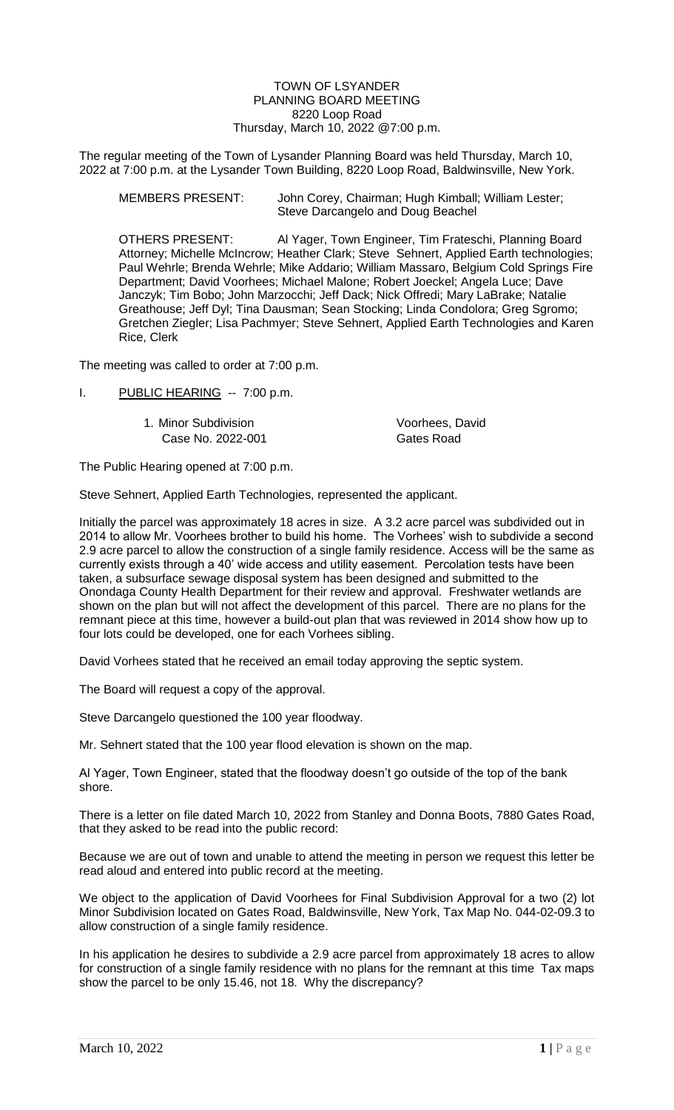#### TOWN OF LSYANDER PLANNING BOARD MEETING 8220 Loop Road Thursday, March 10, 2022 @7:00 p.m.

The regular meeting of the Town of Lysander Planning Board was held Thursday, March 10, 2022 at 7:00 p.m. at the Lysander Town Building, 8220 Loop Road, Baldwinsville, New York.

| <b>MEMBERS PRESENT:</b> | John Corey, Chairman; Hugh Kimball; William Lester; |
|-------------------------|-----------------------------------------------------|
|                         | Steve Darcangelo and Doug Beachel                   |

OTHERS PRESENT: Al Yager, Town Engineer, Tim Frateschi, Planning Board Attorney; Michelle McIncrow; Heather Clark; Steve Sehnert, Applied Earth technologies; Paul Wehrle; Brenda Wehrle; Mike Addario; William Massaro, Belgium Cold Springs Fire Department; David Voorhees; Michael Malone; Robert Joeckel; Angela Luce; Dave Janczyk; Tim Bobo; John Marzocchi; Jeff Dack; Nick Offredi; Mary LaBrake; Natalie Greathouse; Jeff Dyl; Tina Dausman; Sean Stocking; Linda Condolora; Greg Sgromo; Gretchen Ziegler; Lisa Pachmyer; Steve Sehnert, Applied Earth Technologies and Karen Rice, Clerk

The meeting was called to order at 7:00 p.m.

- I. PUBLIC HEARING -- 7:00 p.m.
	- 1. Minor Subdivision Voorhees, David Case No. 2022-001 Gates Road

The Public Hearing opened at 7:00 p.m.

Steve Sehnert, Applied Earth Technologies, represented the applicant.

Initially the parcel was approximately 18 acres in size. A 3.2 acre parcel was subdivided out in 2014 to allow Mr. Voorhees brother to build his home. The Vorhees' wish to subdivide a second 2.9 acre parcel to allow the construction of a single family residence. Access will be the same as currently exists through a 40' wide access and utility easement. Percolation tests have been taken, a subsurface sewage disposal system has been designed and submitted to the Onondaga County Health Department for their review and approval. Freshwater wetlands are shown on the plan but will not affect the development of this parcel. There are no plans for the remnant piece at this time, however a build-out plan that was reviewed in 2014 show how up to four lots could be developed, one for each Vorhees sibling.

David Vorhees stated that he received an email today approving the septic system.

The Board will request a copy of the approval.

Steve Darcangelo questioned the 100 year floodway.

Mr. Sehnert stated that the 100 year flood elevation is shown on the map.

Al Yager, Town Engineer, stated that the floodway doesn't go outside of the top of the bank shore.

There is a letter on file dated March 10, 2022 from Stanley and Donna Boots, 7880 Gates Road, that they asked to be read into the public record:

Because we are out of town and unable to attend the meeting in person we request this letter be read aloud and entered into public record at the meeting.

We object to the application of David Voorhees for Final Subdivision Approval for a two (2) lot Minor Subdivision located on Gates Road, Baldwinsville, New York, Tax Map No. 044-02-09.3 to allow construction of a single family residence.

In his application he desires to subdivide a 2.9 acre parcel from approximately 18 acres to allow for construction of a single family residence with no plans for the remnant at this time Tax maps show the parcel to be only 15.46, not 18. Why the discrepancy?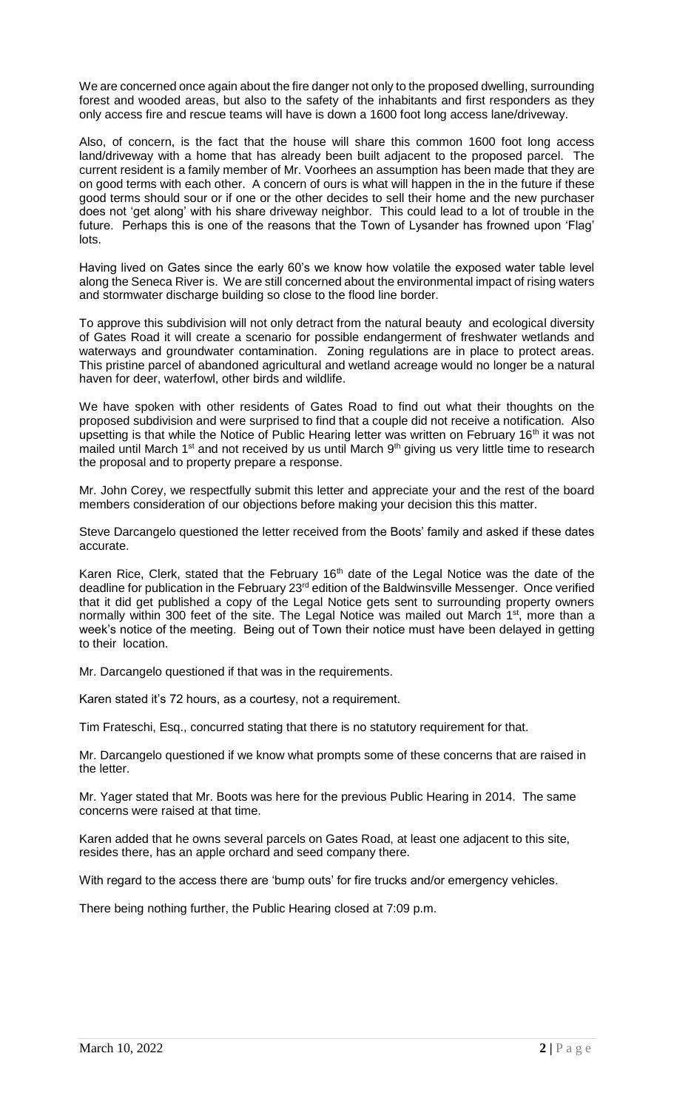We are concerned once again about the fire danger not only to the proposed dwelling, surrounding forest and wooded areas, but also to the safety of the inhabitants and first responders as they only access fire and rescue teams will have is down a 1600 foot long access lane/driveway.

Also, of concern, is the fact that the house will share this common 1600 foot long access land/driveway with a home that has already been built adjacent to the proposed parcel. The current resident is a family member of Mr. Voorhees an assumption has been made that they are on good terms with each other. A concern of ours is what will happen in the in the future if these good terms should sour or if one or the other decides to sell their home and the new purchaser does not 'get along' with his share driveway neighbor. This could lead to a lot of trouble in the future. Perhaps this is one of the reasons that the Town of Lysander has frowned upon 'Flag' lots.

Having lived on Gates since the early 60's we know how volatile the exposed water table level along the Seneca River is. We are still concerned about the environmental impact of rising waters and stormwater discharge building so close to the flood line border.

To approve this subdivision will not only detract from the natural beauty and ecological diversity of Gates Road it will create a scenario for possible endangerment of freshwater wetlands and waterways and groundwater contamination. Zoning regulations are in place to protect areas. This pristine parcel of abandoned agricultural and wetland acreage would no longer be a natural haven for deer, waterfowl, other birds and wildlife.

We have spoken with other residents of Gates Road to find out what their thoughts on the proposed subdivision and were surprised to find that a couple did not receive a notification. Also upsetting is that while the Notice of Public Hearing letter was written on February 16<sup>th</sup> it was not mailed until March 1<sup>st</sup> and not received by us until March 9<sup>th</sup> giving us very little time to research the proposal and to property prepare a response.

Mr. John Corey, we respectfully submit this letter and appreciate your and the rest of the board members consideration of our objections before making your decision this this matter.

Steve Darcangelo questioned the letter received from the Boots' family and asked if these dates accurate.

Karen Rice, Clerk, stated that the February 16<sup>th</sup> date of the Legal Notice was the date of the deadline for publication in the February 23<sup>rd</sup> edition of the Baldwinsville Messenger. Once verified that it did get published a copy of the Legal Notice gets sent to surrounding property owners normally within 300 feet of the site. The Legal Notice was mailed out March 1<sup>st</sup>, more than a week's notice of the meeting. Being out of Town their notice must have been delayed in getting to their location.

Mr. Darcangelo questioned if that was in the requirements.

Karen stated it's 72 hours, as a courtesy, not a requirement.

Tim Frateschi, Esq., concurred stating that there is no statutory requirement for that.

Mr. Darcangelo questioned if we know what prompts some of these concerns that are raised in the letter.

Mr. Yager stated that Mr. Boots was here for the previous Public Hearing in 2014. The same concerns were raised at that time.

Karen added that he owns several parcels on Gates Road, at least one adjacent to this site, resides there, has an apple orchard and seed company there.

With regard to the access there are 'bump outs' for fire trucks and/or emergency vehicles.

There being nothing further, the Public Hearing closed at 7:09 p.m.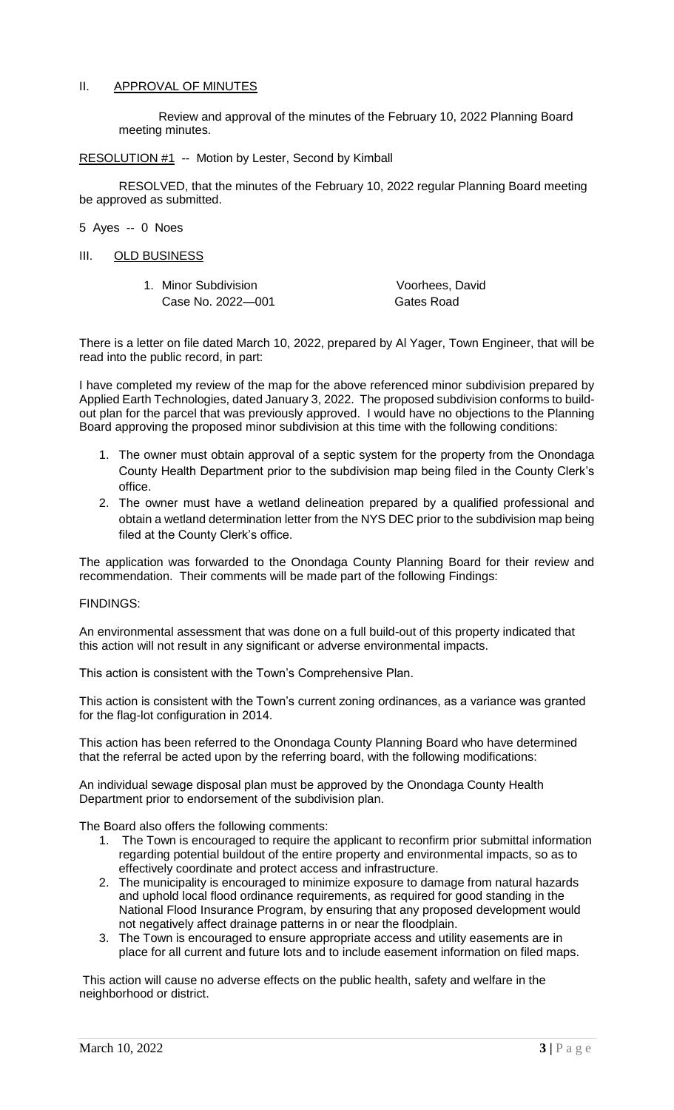## II. APPROVAL OF MINUTES

Review and approval of the minutes of the February 10, 2022 Planning Board meeting minutes.

RESOLUTION #1 -- Motion by Lester, Second by Kimball

RESOLVED, that the minutes of the February 10, 2022 regular Planning Board meeting be approved as submitted.

### 5 Ayes -- 0 Noes

III. OLD BUSINESS

| 1. Minor Subdivision | Voorhees, David |
|----------------------|-----------------|
| Case No. 2022-001    | Gates Road      |

There is a letter on file dated March 10, 2022, prepared by Al Yager, Town Engineer, that will be read into the public record, in part:

I have completed my review of the map for the above referenced minor subdivision prepared by Applied Earth Technologies, dated January 3, 2022. The proposed subdivision conforms to buildout plan for the parcel that was previously approved. I would have no objections to the Planning Board approving the proposed minor subdivision at this time with the following conditions:

- 1. The owner must obtain approval of a septic system for the property from the Onondaga County Health Department prior to the subdivision map being filed in the County Clerk's office.
- 2. The owner must have a wetland delineation prepared by a qualified professional and obtain a wetland determination letter from the NYS DEC prior to the subdivision map being filed at the County Clerk's office.

The application was forwarded to the Onondaga County Planning Board for their review and recommendation. Their comments will be made part of the following Findings:

### FINDINGS:

An environmental assessment that was done on a full build-out of this property indicated that this action will not result in any significant or adverse environmental impacts.

This action is consistent with the Town's Comprehensive Plan.

This action is consistent with the Town's current zoning ordinances, as a variance was granted for the flag-lot configuration in 2014.

This action has been referred to the Onondaga County Planning Board who have determined that the referral be acted upon by the referring board, with the following modifications:

An individual sewage disposal plan must be approved by the Onondaga County Health Department prior to endorsement of the subdivision plan.

The Board also offers the following comments:

- 1. The Town is encouraged to require the applicant to reconfirm prior submittal information regarding potential buildout of the entire property and environmental impacts, so as to effectively coordinate and protect access and infrastructure.
- 2. The municipality is encouraged to minimize exposure to damage from natural hazards and uphold local flood ordinance requirements, as required for good standing in the National Flood Insurance Program, by ensuring that any proposed development would not negatively affect drainage patterns in or near the floodplain.
- 3. The Town is encouraged to ensure appropriate access and utility easements are in place for all current and future lots and to include easement information on filed maps.

This action will cause no adverse effects on the public health, safety and welfare in the neighborhood or district.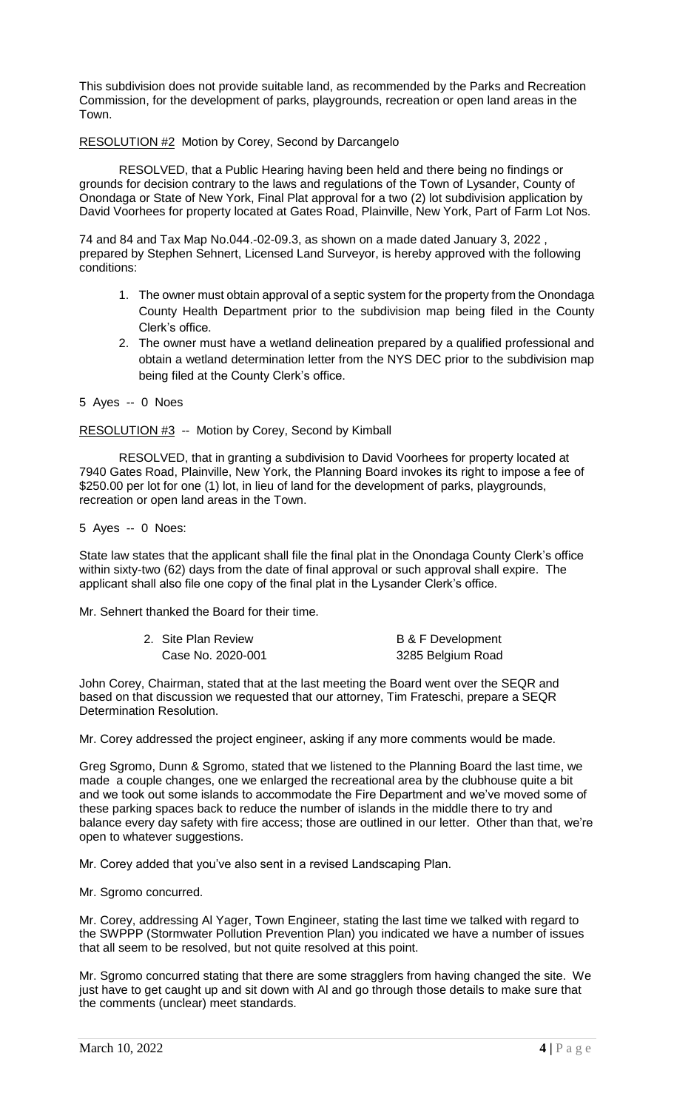This subdivision does not provide suitable land, as recommended by the Parks and Recreation Commission, for the development of parks, playgrounds, recreation or open land areas in the Town.

## RESOLUTION #2 Motion by Corey, Second by Darcangelo

RESOLVED, that a Public Hearing having been held and there being no findings or grounds for decision contrary to the laws and regulations of the Town of Lysander, County of Onondaga or State of New York, Final Plat approval for a two (2) lot subdivision application by David Voorhees for property located at Gates Road, Plainville, New York, Part of Farm Lot Nos.

74 and 84 and Tax Map No.044.-02-09.3, as shown on a made dated January 3, 2022 , prepared by Stephen Sehnert, Licensed Land Surveyor, is hereby approved with the following conditions:

- 1. The owner must obtain approval of a septic system for the property from the Onondaga County Health Department prior to the subdivision map being filed in the County Clerk's office.
- 2. The owner must have a wetland delineation prepared by a qualified professional and obtain a wetland determination letter from the NYS DEC prior to the subdivision map being filed at the County Clerk's office.
- 5 Ayes -- 0 Noes

RESOLUTION #3 -- Motion by Corey, Second by Kimball

RESOLVED, that in granting a subdivision to David Voorhees for property located at 7940 Gates Road, Plainville, New York, the Planning Board invokes its right to impose a fee of \$250.00 per lot for one (1) lot, in lieu of land for the development of parks, playgrounds, recreation or open land areas in the Town.

5 Ayes -- 0 Noes:

State law states that the applicant shall file the final plat in the Onondaga County Clerk's office within sixty-two (62) days from the date of final approval or such approval shall expire. The applicant shall also file one copy of the final plat in the Lysander Clerk's office.

Mr. Sehnert thanked the Board for their time.

| 2. Site Plan Review | <b>B &amp; F Development</b> |
|---------------------|------------------------------|
| Case No. 2020-001   | 3285 Belgium Road            |

John Corey, Chairman, stated that at the last meeting the Board went over the SEQR and based on that discussion we requested that our attorney, Tim Frateschi, prepare a SEQR Determination Resolution.

Mr. Corey addressed the project engineer, asking if any more comments would be made.

Greg Sgromo, Dunn & Sgromo, stated that we listened to the Planning Board the last time, we made a couple changes, one we enlarged the recreational area by the clubhouse quite a bit and we took out some islands to accommodate the Fire Department and we've moved some of these parking spaces back to reduce the number of islands in the middle there to try and balance every day safety with fire access; those are outlined in our letter. Other than that, we're open to whatever suggestions.

Mr. Corey added that you've also sent in a revised Landscaping Plan.

Mr. Sgromo concurred.

Mr. Corey, addressing Al Yager, Town Engineer, stating the last time we talked with regard to the SWPPP (Stormwater Pollution Prevention Plan) you indicated we have a number of issues that all seem to be resolved, but not quite resolved at this point.

Mr. Sgromo concurred stating that there are some stragglers from having changed the site. We just have to get caught up and sit down with Al and go through those details to make sure that the comments (unclear) meet standards.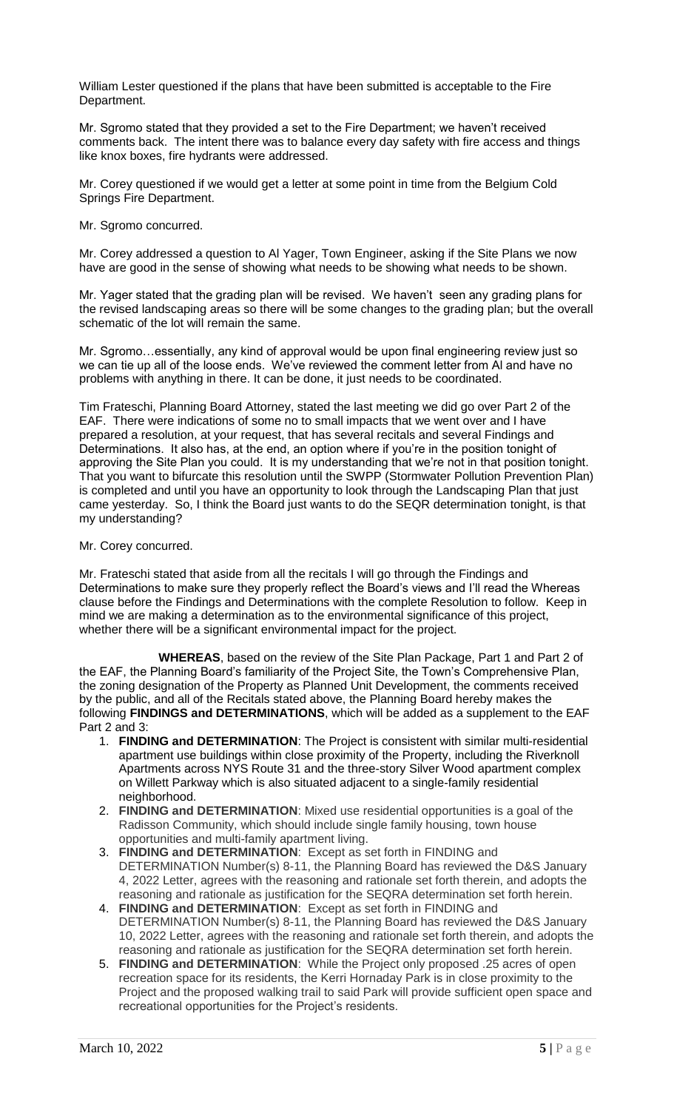William Lester questioned if the plans that have been submitted is acceptable to the Fire Department.

Mr. Sgromo stated that they provided a set to the Fire Department; we haven't received comments back. The intent there was to balance every day safety with fire access and things like knox boxes, fire hydrants were addressed.

Mr. Corey questioned if we would get a letter at some point in time from the Belgium Cold Springs Fire Department.

Mr. Sgromo concurred.

Mr. Corey addressed a question to Al Yager, Town Engineer, asking if the Site Plans we now have are good in the sense of showing what needs to be showing what needs to be shown.

Mr. Yager stated that the grading plan will be revised. We haven't seen any grading plans for the revised landscaping areas so there will be some changes to the grading plan; but the overall schematic of the lot will remain the same.

Mr. Sgromo…essentially, any kind of approval would be upon final engineering review just so we can tie up all of the loose ends. We've reviewed the comment letter from Al and have no problems with anything in there. It can be done, it just needs to be coordinated.

Tim Frateschi, Planning Board Attorney, stated the last meeting we did go over Part 2 of the EAF. There were indications of some no to small impacts that we went over and I have prepared a resolution, at your request, that has several recitals and several Findings and Determinations. It also has, at the end, an option where if you're in the position tonight of approving the Site Plan you could. It is my understanding that we're not in that position tonight. That you want to bifurcate this resolution until the SWPP (Stormwater Pollution Prevention Plan) is completed and until you have an opportunity to look through the Landscaping Plan that just came yesterday. So, I think the Board just wants to do the SEQR determination tonight, is that my understanding?

### Mr. Corey concurred.

Mr. Frateschi stated that aside from all the recitals I will go through the Findings and Determinations to make sure they properly reflect the Board's views and I'll read the Whereas clause before the Findings and Determinations with the complete Resolution to follow. Keep in mind we are making a determination as to the environmental significance of this project, whether there will be a significant environmental impact for the project.

**WHEREAS**, based on the review of the Site Plan Package, Part 1 and Part 2 of the EAF, the Planning Board's familiarity of the Project Site, the Town's Comprehensive Plan, the zoning designation of the Property as Planned Unit Development, the comments received by the public, and all of the Recitals stated above, the Planning Board hereby makes the following **FINDINGS and DETERMINATIONS**, which will be added as a supplement to the EAF Part 2 and 3:

- 1. **FINDING and DETERMINATION**: The Project is consistent with similar multi-residential apartment use buildings within close proximity of the Property, including the Riverknoll Apartments across NYS Route 31 and the three-story Silver Wood apartment complex on Willett Parkway which is also situated adjacent to a single-family residential neighborhood.
- 2. **FINDING and DETERMINATION**: Mixed use residential opportunities is a goal of the Radisson Community, which should include single family housing, town house opportunities and multi-family apartment living.
- 3. **FINDING and DETERMINATION**: Except as set forth in FINDING and DETERMINATION Number(s) 8-11, the Planning Board has reviewed the D&S January 4, 2022 Letter, agrees with the reasoning and rationale set forth therein, and adopts the reasoning and rationale as justification for the SEQRA determination set forth herein.
- 4. **FINDING and DETERMINATION**: Except as set forth in FINDING and DETERMINATION Number(s) 8-11, the Planning Board has reviewed the D&S January 10, 2022 Letter, agrees with the reasoning and rationale set forth therein, and adopts the reasoning and rationale as justification for the SEQRA determination set forth herein.
- 5. **FINDING and DETERMINATION**: While the Project only proposed .25 acres of open recreation space for its residents, the Kerri Hornaday Park is in close proximity to the Project and the proposed walking trail to said Park will provide sufficient open space and recreational opportunities for the Project's residents.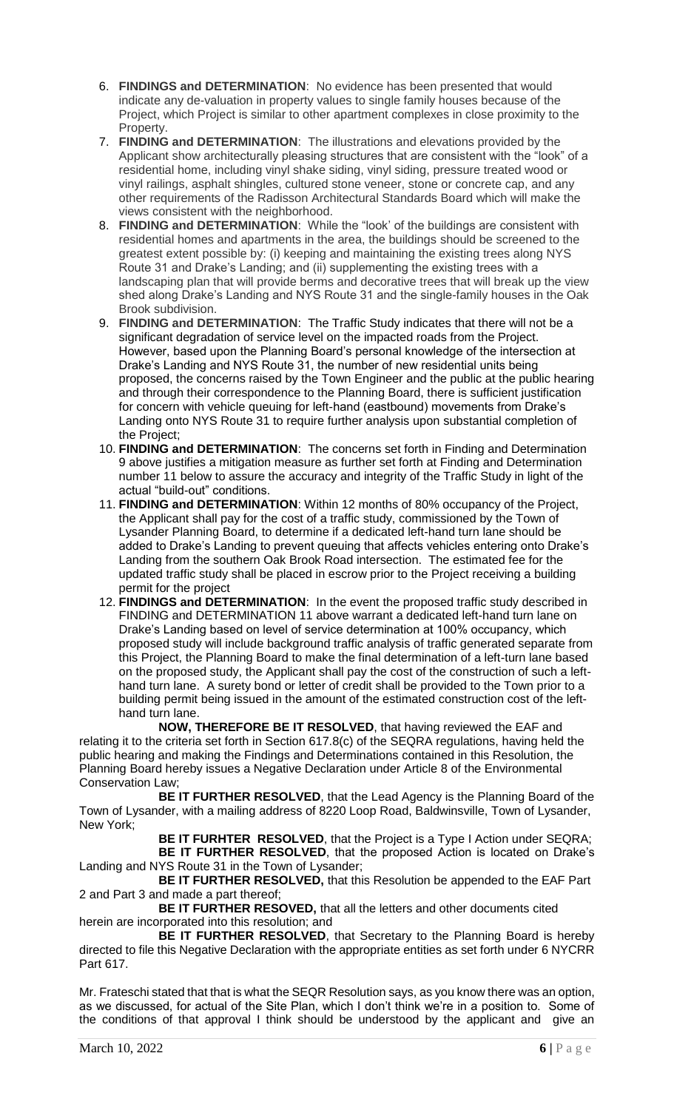- 6. **FINDINGS and DETERMINATION**: No evidence has been presented that would indicate any de-valuation in property values to single family houses because of the Project, which Project is similar to other apartment complexes in close proximity to the Property.
- 7. **FINDING and DETERMINATION**: The illustrations and elevations provided by the Applicant show architecturally pleasing structures that are consistent with the "look" of a residential home, including vinyl shake siding, vinyl siding, pressure treated wood or vinyl railings, asphalt shingles, cultured stone veneer, stone or concrete cap, and any other requirements of the Radisson Architectural Standards Board which will make the views consistent with the neighborhood.
- 8. **FINDING and DETERMINATION**: While the "look' of the buildings are consistent with residential homes and apartments in the area, the buildings should be screened to the greatest extent possible by: (i) keeping and maintaining the existing trees along NYS Route 31 and Drake's Landing; and (ii) supplementing the existing trees with a landscaping plan that will provide berms and decorative trees that will break up the view shed along Drake's Landing and NYS Route 31 and the single-family houses in the Oak Brook subdivision.
- 9. **FINDING and DETERMINATION**: The Traffic Study indicates that there will not be a significant degradation of service level on the impacted roads from the Project. However, based upon the Planning Board's personal knowledge of the intersection at Drake's Landing and NYS Route 31, the number of new residential units being proposed, the concerns raised by the Town Engineer and the public at the public hearing and through their correspondence to the Planning Board, there is sufficient justification for concern with vehicle queuing for left-hand (eastbound) movements from Drake's Landing onto NYS Route 31 to require further analysis upon substantial completion of the Project;
- 10. **FINDING and DETERMINATION**: The concerns set forth in Finding and Determination 9 above justifies a mitigation measure as further set forth at Finding and Determination number 11 below to assure the accuracy and integrity of the Traffic Study in light of the actual "build-out" conditions.
- 11. **FINDING and DETERMINATION**: Within 12 months of 80% occupancy of the Project, the Applicant shall pay for the cost of a traffic study, commissioned by the Town of Lysander Planning Board, to determine if a dedicated left-hand turn lane should be added to Drake's Landing to prevent queuing that affects vehicles entering onto Drake's Landing from the southern Oak Brook Road intersection. The estimated fee for the updated traffic study shall be placed in escrow prior to the Project receiving a building permit for the project
- 12. **FINDINGS and DETERMINATION**: In the event the proposed traffic study described in FINDING and DETERMINATION 11 above warrant a dedicated left-hand turn lane on Drake's Landing based on level of service determination at 100% occupancy, which proposed study will include background traffic analysis of traffic generated separate from this Project, the Planning Board to make the final determination of a left-turn lane based on the proposed study, the Applicant shall pay the cost of the construction of such a lefthand turn lane. A surety bond or letter of credit shall be provided to the Town prior to a building permit being issued in the amount of the estimated construction cost of the lefthand turn lane.

**NOW, THEREFORE BE IT RESOLVED**, that having reviewed the EAF and relating it to the criteria set forth in Section 617.8(c) of the SEQRA regulations, having held the public hearing and making the Findings and Determinations contained in this Resolution, the Planning Board hereby issues a Negative Declaration under Article 8 of the Environmental Conservation Law;

**BE IT FURTHER RESOLVED**, that the Lead Agency is the Planning Board of the Town of Lysander, with a mailing address of 8220 Loop Road, Baldwinsville, Town of Lysander, New York;

**BE IT FURHTER RESOLVED**, that the Project is a Type I Action under SEQRA; **BE IT FURTHER RESOLVED**, that the proposed Action is located on Drake's Landing and NYS Route 31 in the Town of Lysander;

**BE IT FURTHER RESOLVED,** that this Resolution be appended to the EAF Part 2 and Part 3 and made a part thereof;

**BE IT FURTHER RESOVED,** that all the letters and other documents cited herein are incorporated into this resolution; and

**BE IT FURTHER RESOLVED**, that Secretary to the Planning Board is hereby directed to file this Negative Declaration with the appropriate entities as set forth under 6 NYCRR Part 617.

Mr. Frateschi stated that that is what the SEQR Resolution says, as you know there was an option, as we discussed, for actual of the Site Plan, which I don't think we're in a position to. Some of the conditions of that approval I think should be understood by the applicant and give an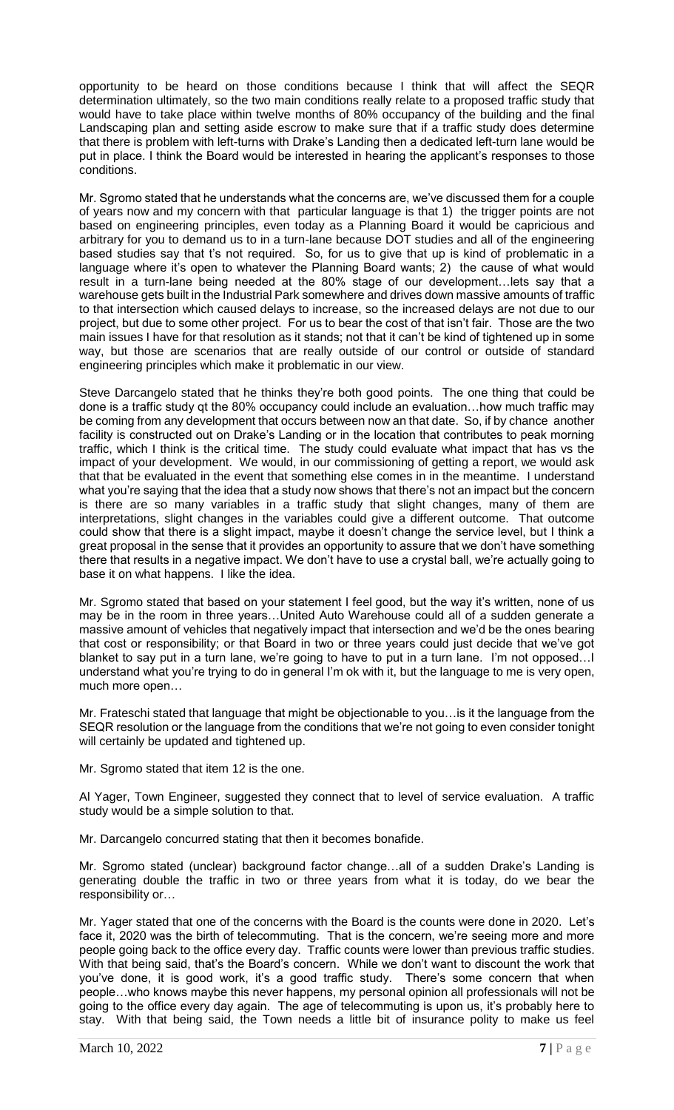opportunity to be heard on those conditions because I think that will affect the SEQR determination ultimately, so the two main conditions really relate to a proposed traffic study that would have to take place within twelve months of 80% occupancy of the building and the final Landscaping plan and setting aside escrow to make sure that if a traffic study does determine that there is problem with left-turns with Drake's Landing then a dedicated left-turn lane would be put in place. I think the Board would be interested in hearing the applicant's responses to those conditions.

Mr. Sgromo stated that he understands what the concerns are, we've discussed them for a couple of years now and my concern with that particular language is that 1) the trigger points are not based on engineering principles, even today as a Planning Board it would be capricious and arbitrary for you to demand us to in a turn-lane because DOT studies and all of the engineering based studies say that t's not required. So, for us to give that up is kind of problematic in a language where it's open to whatever the Planning Board wants; 2) the cause of what would result in a turn-lane being needed at the 80% stage of our development…lets say that a warehouse gets built in the Industrial Park somewhere and drives down massive amounts of traffic to that intersection which caused delays to increase, so the increased delays are not due to our project, but due to some other project. For us to bear the cost of that isn't fair. Those are the two main issues I have for that resolution as it stands; not that it can't be kind of tightened up in some way, but those are scenarios that are really outside of our control or outside of standard engineering principles which make it problematic in our view.

Steve Darcangelo stated that he thinks they're both good points. The one thing that could be done is a traffic study qt the 80% occupancy could include an evaluation…how much traffic may be coming from any development that occurs between now an that date. So, if by chance another facility is constructed out on Drake's Landing or in the location that contributes to peak morning traffic, which I think is the critical time. The study could evaluate what impact that has vs the impact of your development. We would, in our commissioning of getting a report, we would ask that that be evaluated in the event that something else comes in in the meantime. I understand what you're saying that the idea that a study now shows that there's not an impact but the concern is there are so many variables in a traffic study that slight changes, many of them are interpretations, slight changes in the variables could give a different outcome. That outcome could show that there is a slight impact, maybe it doesn't change the service level, but I think a great proposal in the sense that it provides an opportunity to assure that we don't have something there that results in a negative impact. We don't have to use a crystal ball, we're actually going to base it on what happens. I like the idea.

Mr. Sgromo stated that based on your statement I feel good, but the way it's written, none of us may be in the room in three years…United Auto Warehouse could all of a sudden generate a massive amount of vehicles that negatively impact that intersection and we'd be the ones bearing that cost or responsibility; or that Board in two or three years could just decide that we've got blanket to say put in a turn lane, we're going to have to put in a turn lane. I'm not opposed…I understand what you're trying to do in general I'm ok with it, but the language to me is very open, much more open…

Mr. Frateschi stated that language that might be objectionable to you…is it the language from the SEQR resolution or the language from the conditions that we're not going to even consider tonight will certainly be updated and tightened up.

Mr. Sgromo stated that item 12 is the one.

Al Yager, Town Engineer, suggested they connect that to level of service evaluation. A traffic study would be a simple solution to that.

Mr. Darcangelo concurred stating that then it becomes bonafide.

Mr. Sgromo stated (unclear) background factor change…all of a sudden Drake's Landing is generating double the traffic in two or three years from what it is today, do we bear the responsibility or…

Mr. Yager stated that one of the concerns with the Board is the counts were done in 2020. Let's face it, 2020 was the birth of telecommuting. That is the concern, we're seeing more and more people going back to the office every day. Traffic counts were lower than previous traffic studies. With that being said, that's the Board's concern. While we don't want to discount the work that you've done, it is good work, it's a good traffic study. There's some concern that when people…who knows maybe this never happens, my personal opinion all professionals will not be going to the office every day again. The age of telecommuting is upon us, it's probably here to stay. With that being said, the Town needs a little bit of insurance polity to make us feel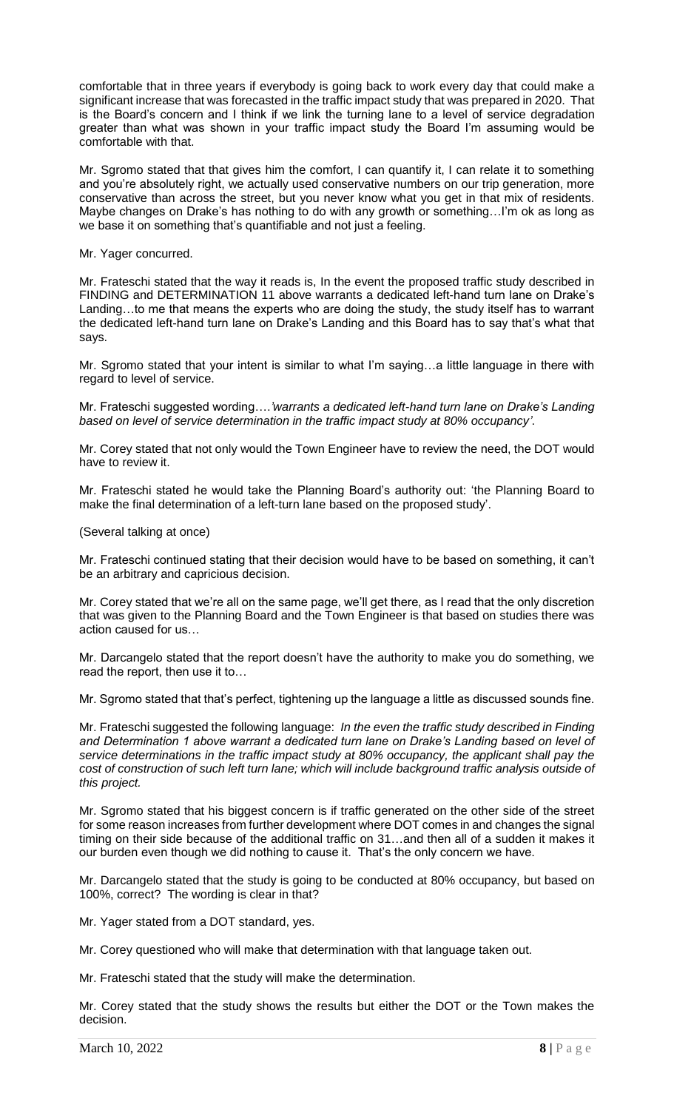comfortable that in three years if everybody is going back to work every day that could make a significant increase that was forecasted in the traffic impact study that was prepared in 2020. That is the Board's concern and I think if we link the turning lane to a level of service degradation greater than what was shown in your traffic impact study the Board I'm assuming would be comfortable with that.

Mr. Sgromo stated that that gives him the comfort, I can quantify it, I can relate it to something and you're absolutely right, we actually used conservative numbers on our trip generation, more conservative than across the street, but you never know what you get in that mix of residents. Maybe changes on Drake's has nothing to do with any growth or something…I'm ok as long as we base it on something that's quantifiable and not just a feeling.

Mr. Yager concurred.

Mr. Frateschi stated that the way it reads is, In the event the proposed traffic study described in FINDING and DETERMINATION 11 above warrants a dedicated left-hand turn lane on Drake's Landing...to me that means the experts who are doing the study, the study itself has to warrant the dedicated left-hand turn lane on Drake's Landing and this Board has to say that's what that says.

Mr. Sgromo stated that your intent is similar to what I'm saying…a little language in there with regard to level of service.

Mr. Frateschi suggested wording….*'warrants a dedicated left-hand turn lane on Drake's Landing based on level of service determination in the traffic impact study at 80% occupancy'*.

Mr. Corey stated that not only would the Town Engineer have to review the need, the DOT would have to review it.

Mr. Frateschi stated he would take the Planning Board's authority out: 'the Planning Board to make the final determination of a left-turn lane based on the proposed study'.

(Several talking at once)

Mr. Frateschi continued stating that their decision would have to be based on something, it can't be an arbitrary and capricious decision.

Mr. Corey stated that we're all on the same page, we'll get there, as I read that the only discretion that was given to the Planning Board and the Town Engineer is that based on studies there was action caused for us…

Mr. Darcangelo stated that the report doesn't have the authority to make you do something, we read the report, then use it to…

Mr. Sgromo stated that that's perfect, tightening up the language a little as discussed sounds fine.

Mr. Frateschi suggested the following language: *In the even the traffic study described in Finding and Determination 1 above warrant a dedicated turn lane on Drake's Landing based on level of service determinations in the traffic impact study at 80% occupancy, the applicant shall pay the cost of construction of such left turn lane; which will include background traffic analysis outside of this project.* 

Mr. Sgromo stated that his biggest concern is if traffic generated on the other side of the street for some reason increases from further development where DOT comes in and changes the signal timing on their side because of the additional traffic on 31…and then all of a sudden it makes it our burden even though we did nothing to cause it. That's the only concern we have.

Mr. Darcangelo stated that the study is going to be conducted at 80% occupancy, but based on 100%, correct? The wording is clear in that?

Mr. Yager stated from a DOT standard, yes.

Mr. Corey questioned who will make that determination with that language taken out.

Mr. Frateschi stated that the study will make the determination.

Mr. Corey stated that the study shows the results but either the DOT or the Town makes the decision.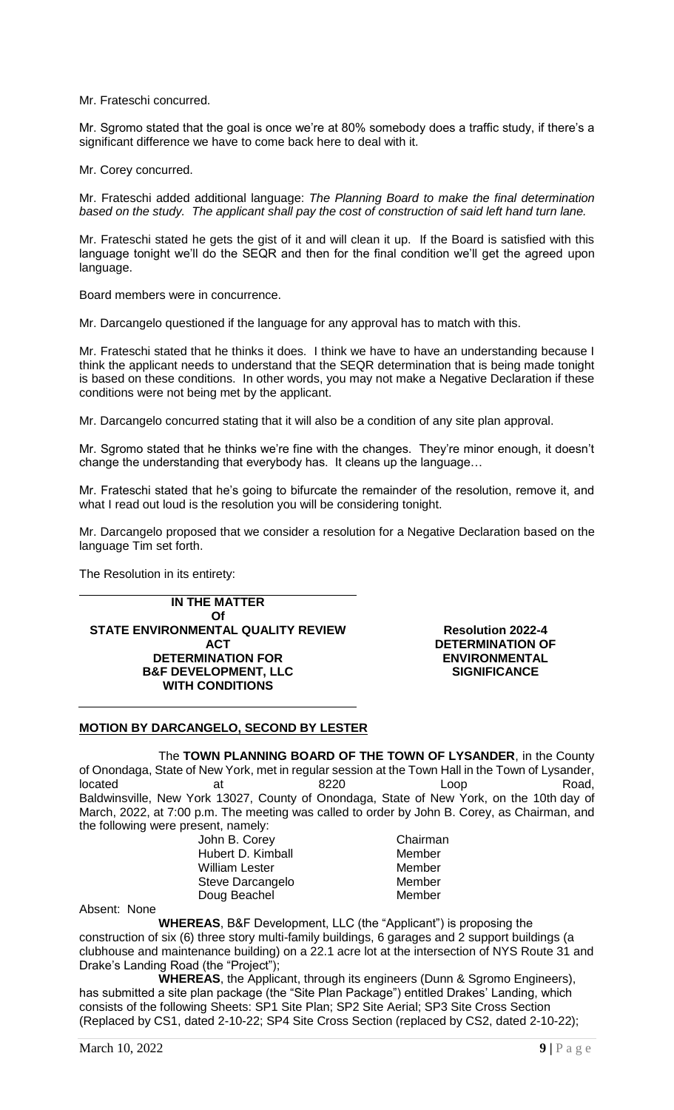Mr. Frateschi concurred.

Mr. Sgromo stated that the goal is once we're at 80% somebody does a traffic study, if there's a significant difference we have to come back here to deal with it.

Mr. Corey concurred.

Mr. Frateschi added additional language: *The Planning Board to make the final determination based on the study. The applicant shall pay the cost of construction of said left hand turn lane.*

Mr. Frateschi stated he gets the gist of it and will clean it up. If the Board is satisfied with this language tonight we'll do the SEQR and then for the final condition we'll get the agreed upon language.

Board members were in concurrence.

Mr. Darcangelo questioned if the language for any approval has to match with this.

Mr. Frateschi stated that he thinks it does. I think we have to have an understanding because I think the applicant needs to understand that the SEQR determination that is being made tonight is based on these conditions. In other words, you may not make a Negative Declaration if these conditions were not being met by the applicant.

Mr. Darcangelo concurred stating that it will also be a condition of any site plan approval.

Mr. Sgromo stated that he thinks we're fine with the changes. They're minor enough, it doesn't change the understanding that everybody has. It cleans up the language…

Mr. Frateschi stated that he's going to bifurcate the remainder of the resolution, remove it, and what I read out loud is the resolution you will be considering tonight.

Mr. Darcangelo proposed that we consider a resolution for a Negative Declaration based on the language Tim set forth.

The Resolution in its entirety:

**IN THE MATTER Of STATE ENVIRONMENTAL QUALITY REVIEW ACT DETERMINATION FOR B&F DEVELOPMENT, LLC WITH CONDITIONS**

**Resolution 2022-4 DETERMINATION OF ENVIRONMENTAL SIGNIFICANCE** 

### **MOTION BY DARCANGELO, SECOND BY LESTER**

The **TOWN PLANNING BOARD OF THE TOWN OF LYSANDER**, in the County of Onondaga, State of New York, met in regular session at the Town Hall in the Town of Lysander, located at a at 8220 Loop Road, Baldwinsville, New York 13027, County of Onondaga, State of New York, on the 10th day of March, 2022, at 7:00 p.m. The meeting was called to order by John B. Corey, as Chairman, and the following were present, namely:

> John B. Corey Chairman Hubert D. Kimball Member<br>
> William Lester Member William Lester Steve Darcangelo Member Doug Beachel Member

Absent: None

**WHEREAS**, B&F Development, LLC (the "Applicant") is proposing the construction of six (6) three story multi-family buildings, 6 garages and 2 support buildings (a clubhouse and maintenance building) on a 22.1 acre lot at the intersection of NYS Route 31 and Drake's Landing Road (the "Project");

**WHEREAS**, the Applicant, through its engineers (Dunn & Sgromo Engineers), has submitted a site plan package (the "Site Plan Package") entitled Drakes' Landing, which consists of the following Sheets: SP1 Site Plan; SP2 Site Aerial; SP3 Site Cross Section (Replaced by CS1, dated 2-10-22; SP4 Site Cross Section (replaced by CS2, dated 2-10-22);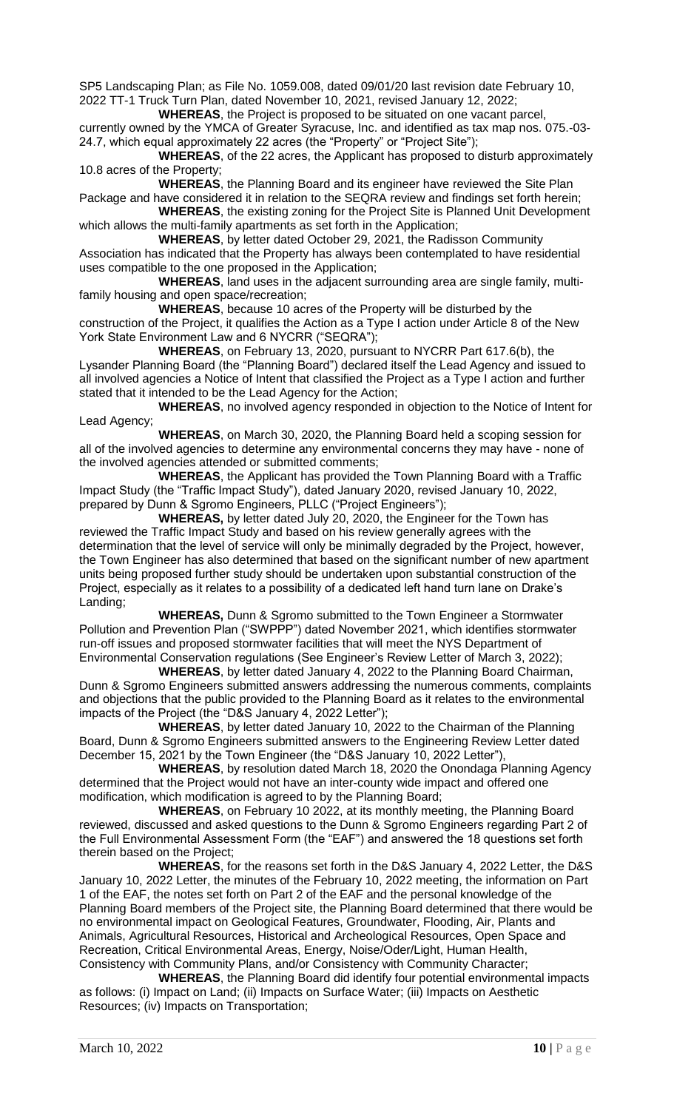SP5 Landscaping Plan; as File No. 1059.008, dated 09/01/20 last revision date February 10, 2022 TT-1 Truck Turn Plan, dated November 10, 2021, revised January 12, 2022;

**WHEREAS**, the Project is proposed to be situated on one vacant parcel, currently owned by the YMCA of Greater Syracuse, Inc. and identified as tax map nos. 075.-03- 24.7, which equal approximately 22 acres (the "Property" or "Project Site");

**WHEREAS**, of the 22 acres, the Applicant has proposed to disturb approximately 10.8 acres of the Property;

**WHEREAS**, the Planning Board and its engineer have reviewed the Site Plan Package and have considered it in relation to the SEQRA review and findings set forth herein;

**WHEREAS**, the existing zoning for the Project Site is Planned Unit Development which allows the multi-family apartments as set forth in the Application;

**WHEREAS**, by letter dated October 29, 2021, the Radisson Community Association has indicated that the Property has always been contemplated to have residential uses compatible to the one proposed in the Application;

**WHEREAS**, land uses in the adjacent surrounding area are single family, multifamily housing and open space/recreation;

**WHEREAS**, because 10 acres of the Property will be disturbed by the construction of the Project, it qualifies the Action as a Type I action under Article 8 of the New York State Environment Law and 6 NYCRR ("SEQRA");

**WHEREAS**, on February 13, 2020, pursuant to NYCRR Part 617.6(b), the Lysander Planning Board (the "Planning Board") declared itself the Lead Agency and issued to all involved agencies a Notice of Intent that classified the Project as a Type I action and further stated that it intended to be the Lead Agency for the Action;

**WHEREAS**, no involved agency responded in objection to the Notice of Intent for Lead Agency;

**WHEREAS**, on March 30, 2020, the Planning Board held a scoping session for all of the involved agencies to determine any environmental concerns they may have - none of the involved agencies attended or submitted comments;

**WHEREAS**, the Applicant has provided the Town Planning Board with a Traffic Impact Study (the "Traffic Impact Study"), dated January 2020, revised January 10, 2022, prepared by Dunn & Sgromo Engineers, PLLC ("Project Engineers");

**WHEREAS,** by letter dated July 20, 2020, the Engineer for the Town has reviewed the Traffic Impact Study and based on his review generally agrees with the determination that the level of service will only be minimally degraded by the Project, however, the Town Engineer has also determined that based on the significant number of new apartment units being proposed further study should be undertaken upon substantial construction of the Project, especially as it relates to a possibility of a dedicated left hand turn lane on Drake's Landing;

**WHEREAS,** Dunn & Sgromo submitted to the Town Engineer a Stormwater Pollution and Prevention Plan ("SWPPP") dated November 2021, which identifies stormwater run-off issues and proposed stormwater facilities that will meet the NYS Department of Environmental Conservation regulations (See Engineer's Review Letter of March 3, 2022);

**WHEREAS**, by letter dated January 4, 2022 to the Planning Board Chairman, Dunn & Sgromo Engineers submitted answers addressing the numerous comments, complaints and objections that the public provided to the Planning Board as it relates to the environmental impacts of the Project (the "D&S January 4, 2022 Letter");

**WHEREAS**, by letter dated January 10, 2022 to the Chairman of the Planning Board, Dunn & Sgromo Engineers submitted answers to the Engineering Review Letter dated December 15, 2021 by the Town Engineer (the "D&S January 10, 2022 Letter"),

**WHEREAS**, by resolution dated March 18, 2020 the Onondaga Planning Agency determined that the Project would not have an inter-county wide impact and offered one modification, which modification is agreed to by the Planning Board;

**WHEREAS**, on February 10 2022, at its monthly meeting, the Planning Board reviewed, discussed and asked questions to the Dunn & Sgromo Engineers regarding Part 2 of the Full Environmental Assessment Form (the "EAF") and answered the 18 questions set forth therein based on the Project;

**WHEREAS**, for the reasons set forth in the D&S January 4, 2022 Letter, the D&S January 10, 2022 Letter, the minutes of the February 10, 2022 meeting, the information on Part 1 of the EAF, the notes set forth on Part 2 of the EAF and the personal knowledge of the Planning Board members of the Project site, the Planning Board determined that there would be no environmental impact on Geological Features, Groundwater, Flooding, Air, Plants and Animals, Agricultural Resources, Historical and Archeological Resources, Open Space and Recreation, Critical Environmental Areas, Energy, Noise/Oder/Light, Human Health, Consistency with Community Plans, and/or Consistency with Community Character;

**WHEREAS**, the Planning Board did identify four potential environmental impacts as follows: (i) Impact on Land; (ii) Impacts on Surface Water; (iii) Impacts on Aesthetic Resources; (iv) Impacts on Transportation;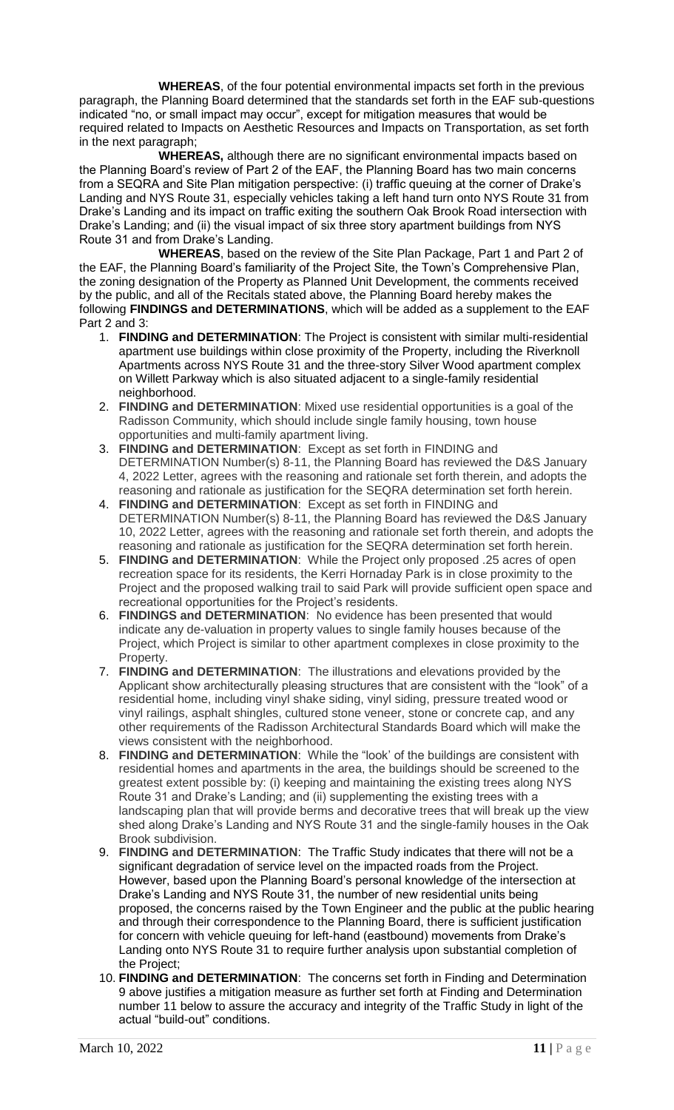**WHEREAS**, of the four potential environmental impacts set forth in the previous paragraph, the Planning Board determined that the standards set forth in the EAF sub-questions indicated "no, or small impact may occur", except for mitigation measures that would be required related to Impacts on Aesthetic Resources and Impacts on Transportation, as set forth in the next paragraph;

**WHEREAS,** although there are no significant environmental impacts based on the Planning Board's review of Part 2 of the EAF, the Planning Board has two main concerns from a SEQRA and Site Plan mitigation perspective: (i) traffic queuing at the corner of Drake's Landing and NYS Route 31, especially vehicles taking a left hand turn onto NYS Route 31 from Drake's Landing and its impact on traffic exiting the southern Oak Brook Road intersection with Drake's Landing; and (ii) the visual impact of six three story apartment buildings from NYS Route 31 and from Drake's Landing.

**WHEREAS**, based on the review of the Site Plan Package, Part 1 and Part 2 of the EAF, the Planning Board's familiarity of the Project Site, the Town's Comprehensive Plan, the zoning designation of the Property as Planned Unit Development, the comments received by the public, and all of the Recitals stated above, the Planning Board hereby makes the following **FINDINGS and DETERMINATIONS**, which will be added as a supplement to the EAF Part 2 and 3:

- 1. **FINDING and DETERMINATION**: The Project is consistent with similar multi-residential apartment use buildings within close proximity of the Property, including the Riverknoll Apartments across NYS Route 31 and the three-story Silver Wood apartment complex on Willett Parkway which is also situated adjacent to a single-family residential neighborhood.
- 2. **FINDING and DETERMINATION**: Mixed use residential opportunities is a goal of the Radisson Community, which should include single family housing, town house opportunities and multi-family apartment living.
- 3. **FINDING and DETERMINATION**: Except as set forth in FINDING and DETERMINATION Number(s) 8-11, the Planning Board has reviewed the D&S January 4, 2022 Letter, agrees with the reasoning and rationale set forth therein, and adopts the reasoning and rationale as justification for the SEQRA determination set forth herein.
- 4. **FINDING and DETERMINATION**: Except as set forth in FINDING and DETERMINATION Number(s) 8-11, the Planning Board has reviewed the D&S January 10, 2022 Letter, agrees with the reasoning and rationale set forth therein, and adopts the reasoning and rationale as justification for the SEQRA determination set forth herein.
- 5. **FINDING and DETERMINATION**: While the Project only proposed .25 acres of open recreation space for its residents, the Kerri Hornaday Park is in close proximity to the Project and the proposed walking trail to said Park will provide sufficient open space and recreational opportunities for the Project's residents.
- 6. **FINDINGS and DETERMINATION**: No evidence has been presented that would indicate any de-valuation in property values to single family houses because of the Project, which Project is similar to other apartment complexes in close proximity to the Property.
- 7. **FINDING and DETERMINATION**: The illustrations and elevations provided by the Applicant show architecturally pleasing structures that are consistent with the "look" of a residential home, including vinyl shake siding, vinyl siding, pressure treated wood or vinyl railings, asphalt shingles, cultured stone veneer, stone or concrete cap, and any other requirements of the Radisson Architectural Standards Board which will make the views consistent with the neighborhood.
- 8. **FINDING and DETERMINATION**: While the "look' of the buildings are consistent with residential homes and apartments in the area, the buildings should be screened to the greatest extent possible by: (i) keeping and maintaining the existing trees along NYS Route 31 and Drake's Landing; and (ii) supplementing the existing trees with a landscaping plan that will provide berms and decorative trees that will break up the view shed along Drake's Landing and NYS Route 31 and the single-family houses in the Oak Brook subdivision.
- 9. **FINDING and DETERMINATION**: The Traffic Study indicates that there will not be a significant degradation of service level on the impacted roads from the Project. However, based upon the Planning Board's personal knowledge of the intersection at Drake's Landing and NYS Route 31, the number of new residential units being proposed, the concerns raised by the Town Engineer and the public at the public hearing and through their correspondence to the Planning Board, there is sufficient justification for concern with vehicle queuing for left-hand (eastbound) movements from Drake's Landing onto NYS Route 31 to require further analysis upon substantial completion of the Project;
- 10. **FINDING and DETERMINATION**: The concerns set forth in Finding and Determination 9 above justifies a mitigation measure as further set forth at Finding and Determination number 11 below to assure the accuracy and integrity of the Traffic Study in light of the actual "build-out" conditions.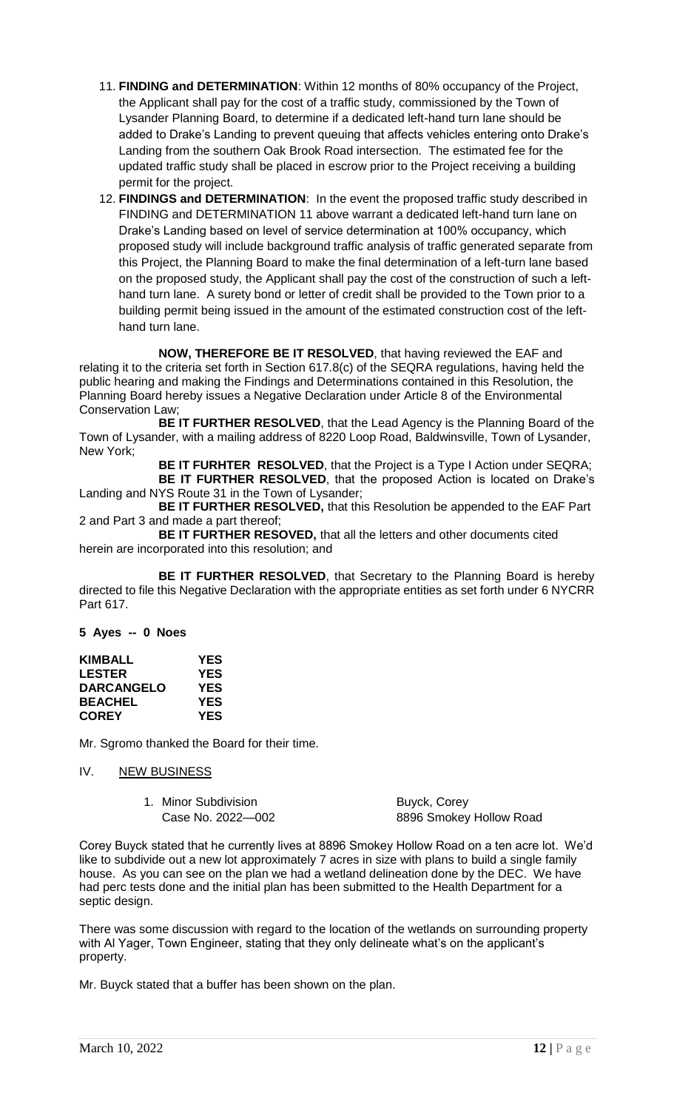- 11. **FINDING and DETERMINATION**: Within 12 months of 80% occupancy of the Project, the Applicant shall pay for the cost of a traffic study, commissioned by the Town of Lysander Planning Board, to determine if a dedicated left-hand turn lane should be added to Drake's Landing to prevent queuing that affects vehicles entering onto Drake's Landing from the southern Oak Brook Road intersection. The estimated fee for the updated traffic study shall be placed in escrow prior to the Project receiving a building permit for the project.
- 12. **FINDINGS and DETERMINATION**: In the event the proposed traffic study described in FINDING and DETERMINATION 11 above warrant a dedicated left-hand turn lane on Drake's Landing based on level of service determination at 100% occupancy, which proposed study will include background traffic analysis of traffic generated separate from this Project, the Planning Board to make the final determination of a left-turn lane based on the proposed study, the Applicant shall pay the cost of the construction of such a lefthand turn lane. A surety bond or letter of credit shall be provided to the Town prior to a building permit being issued in the amount of the estimated construction cost of the lefthand turn lane.

**NOW, THEREFORE BE IT RESOLVED**, that having reviewed the EAF and relating it to the criteria set forth in Section 617.8(c) of the SEQRA regulations, having held the public hearing and making the Findings and Determinations contained in this Resolution, the Planning Board hereby issues a Negative Declaration under Article 8 of the Environmental Conservation Law;

**BE IT FURTHER RESOLVED**, that the Lead Agency is the Planning Board of the Town of Lysander, with a mailing address of 8220 Loop Road, Baldwinsville, Town of Lysander, New York;

**BE IT FURHTER RESOLVED**, that the Project is a Type I Action under SEQRA; **BE IT FURTHER RESOLVED**, that the proposed Action is located on Drake's Landing and NYS Route 31 in the Town of Lysander;

**BE IT FURTHER RESOLVED,** that this Resolution be appended to the EAF Part 2 and Part 3 and made a part thereof;

**BE IT FURTHER RESOVED,** that all the letters and other documents cited herein are incorporated into this resolution; and

**BE IT FURTHER RESOLVED**, that Secretary to the Planning Board is hereby directed to file this Negative Declaration with the appropriate entities as set forth under 6 NYCRR Part 617.

**5 Ayes -- 0 Noes**

| <b>KIMBALL</b>    | YES        |
|-------------------|------------|
| <b>LESTER</b>     | YES        |
| <b>DARCANGELO</b> | <b>YES</b> |
| <b>BEACHEL</b>    | YES        |
| <b>COREY</b>      | YES        |

Mr. Sgromo thanked the Board for their time.

# IV. NEW BUSINESS

1. Minor Subdivision **Buyck, Corey** 

Case No. 2022—002 8896 Smokey Hollow Road

Corey Buyck stated that he currently lives at 8896 Smokey Hollow Road on a ten acre lot. We'd like to subdivide out a new lot approximately 7 acres in size with plans to build a single family house. As you can see on the plan we had a wetland delineation done by the DEC. We have had perc tests done and the initial plan has been submitted to the Health Department for a septic design.

There was some discussion with regard to the location of the wetlands on surrounding property with Al Yager, Town Engineer, stating that they only delineate what's on the applicant's property.

Mr. Buyck stated that a buffer has been shown on the plan.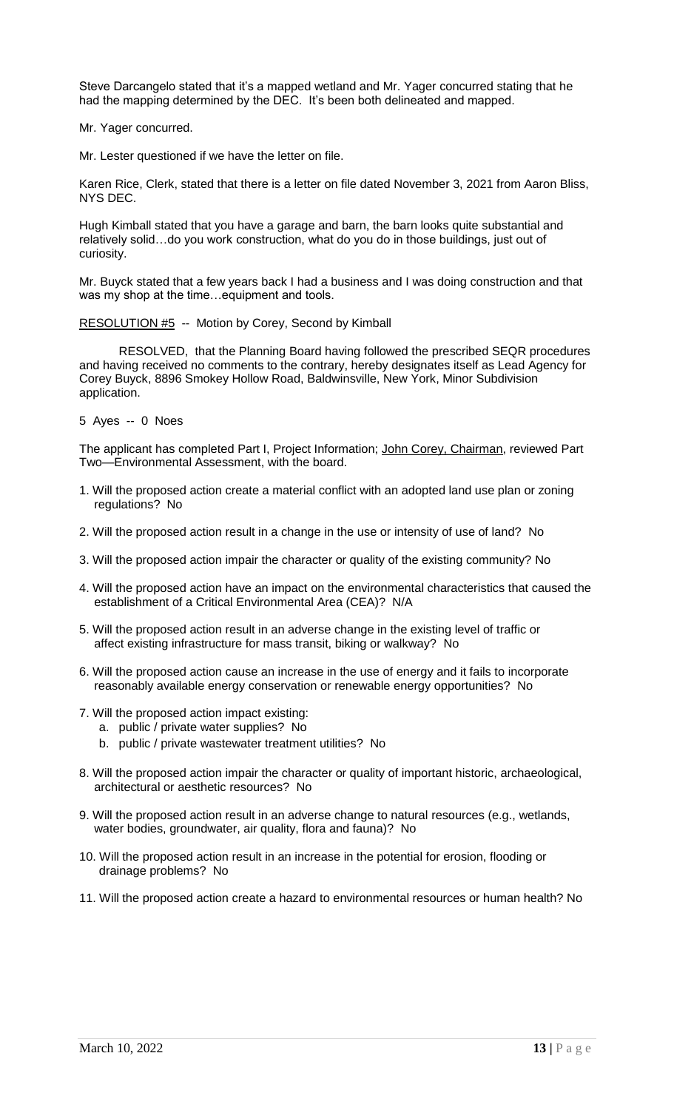Steve Darcangelo stated that it's a mapped wetland and Mr. Yager concurred stating that he had the mapping determined by the DEC. It's been both delineated and mapped.

Mr. Yager concurred.

Mr. Lester questioned if we have the letter on file.

Karen Rice, Clerk, stated that there is a letter on file dated November 3, 2021 from Aaron Bliss, NYS DEC.

Hugh Kimball stated that you have a garage and barn, the barn looks quite substantial and relatively solid…do you work construction, what do you do in those buildings, just out of curiosity.

Mr. Buyck stated that a few years back I had a business and I was doing construction and that was my shop at the time…equipment and tools.

RESOLUTION #5 -- Motion by Corey, Second by Kimball

RESOLVED, that the Planning Board having followed the prescribed SEQR procedures and having received no comments to the contrary, hereby designates itself as Lead Agency for Corey Buyck, 8896 Smokey Hollow Road, Baldwinsville, New York, Minor Subdivision application.

5 Ayes -- 0 Noes

The applicant has completed Part I, Project Information; John Corey, Chairman, reviewed Part Two—Environmental Assessment, with the board.

- 1. Will the proposed action create a material conflict with an adopted land use plan or zoning regulations? No
- 2. Will the proposed action result in a change in the use or intensity of use of land? No
- 3. Will the proposed action impair the character or quality of the existing community? No
- 4. Will the proposed action have an impact on the environmental characteristics that caused the establishment of a Critical Environmental Area (CEA)? N/A
- 5. Will the proposed action result in an adverse change in the existing level of traffic or affect existing infrastructure for mass transit, biking or walkway? No
- 6. Will the proposed action cause an increase in the use of energy and it fails to incorporate reasonably available energy conservation or renewable energy opportunities? No
- 7. Will the proposed action impact existing:
	- a. public / private water supplies? No
		- b. public / private wastewater treatment utilities? No
- 8. Will the proposed action impair the character or quality of important historic, archaeological, architectural or aesthetic resources? No
- 9. Will the proposed action result in an adverse change to natural resources (e.g., wetlands, water bodies, groundwater, air quality, flora and fauna)? No
- 10. Will the proposed action result in an increase in the potential for erosion, flooding or drainage problems? No
- 11. Will the proposed action create a hazard to environmental resources or human health? No